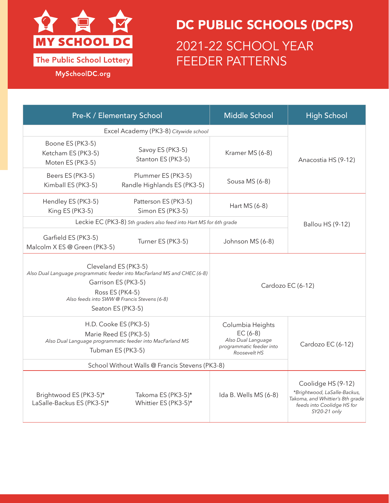

## DC PUBLIC SCHOOLS (DCPS) 2021-22 SCHOOL YEAR FEEDER PATTERNS

MySchoolDC.org

| Pre-K / Elementary School                                                                                                                                                                                     |                                                   | <b>Middle School</b>                                                                             | <b>High School</b>                                                                                                                   |
|---------------------------------------------------------------------------------------------------------------------------------------------------------------------------------------------------------------|---------------------------------------------------|--------------------------------------------------------------------------------------------------|--------------------------------------------------------------------------------------------------------------------------------------|
| Excel Academy (PK3-8) Citywide school                                                                                                                                                                         |                                                   |                                                                                                  |                                                                                                                                      |
| Boone ES (PK3-5)<br>Ketcham ES (PK3-5)<br>Moten ES (PK3-5)                                                                                                                                                    | Savoy ES (PK3-5)<br>Stanton ES (PK3-5)            | Kramer MS (6-8)                                                                                  | Anacostia HS (9-12)                                                                                                                  |
| Beers ES (PK3-5)<br>Kimball ES (PK3-5)                                                                                                                                                                        | Plummer ES (PK3-5)<br>Randle Highlands ES (PK3-5) | Sousa MS (6-8)                                                                                   |                                                                                                                                      |
| Hendley ES (PK3-5)<br>King ES (PK3-5)                                                                                                                                                                         | Patterson ES (PK3-5)<br>Simon ES (PK3-5)          | Hart MS (6-8)                                                                                    |                                                                                                                                      |
| Leckie EC (PK3-8) 5th graders also feed into Hart MS for 6th grade                                                                                                                                            |                                                   |                                                                                                  | <b>Ballou HS (9-12)</b>                                                                                                              |
| Garfield ES (PK3-5)<br>Malcolm X ES @ Green (PK3-5)                                                                                                                                                           | Turner ES (PK3-5)                                 | Johnson MS (6-8)                                                                                 |                                                                                                                                      |
| Cleveland ES (PK3-5)<br>Also Dual Language programmatic feeder into MacFarland MS and CHEC (6-8)<br>Garrison ES (PK3-5)<br>Ross ES (PK4-5)<br>Also feeds into SWW@ Francis Stevens (6-8)<br>Seaton ES (PK3-5) |                                                   | Cardozo EC (6-12)                                                                                |                                                                                                                                      |
| H.D. Cooke ES (PK3-5)<br>Marie Reed ES (PK3-5)<br>Also Dual Language programmatic feeder into MacFarland MS<br>Tubman ES (PK3-5)<br>School Without Walls @ Francis Stevens (PK3-8)                            |                                                   | Columbia Heights<br>$EC (6-8)$<br>Also Dual Language<br>programmatic feeder into<br>Roosevelt HS | Cardozo EC (6-12)                                                                                                                    |
|                                                                                                                                                                                                               |                                                   |                                                                                                  |                                                                                                                                      |
| Brightwood ES (PK3-5)*<br>LaSalle-Backus ES (PK3-5)*                                                                                                                                                          | Takoma ES (PK3-5)*<br>Whittier ES (PK3-5)*        | Ida B. Wells MS (6-8)                                                                            | Coolidge HS (9-12)<br>*Brightwood, LaSalle-Backus,<br>Takoma, and Whittier's 8th grade<br>feeds into Coolidge HS for<br>SY20-21 only |